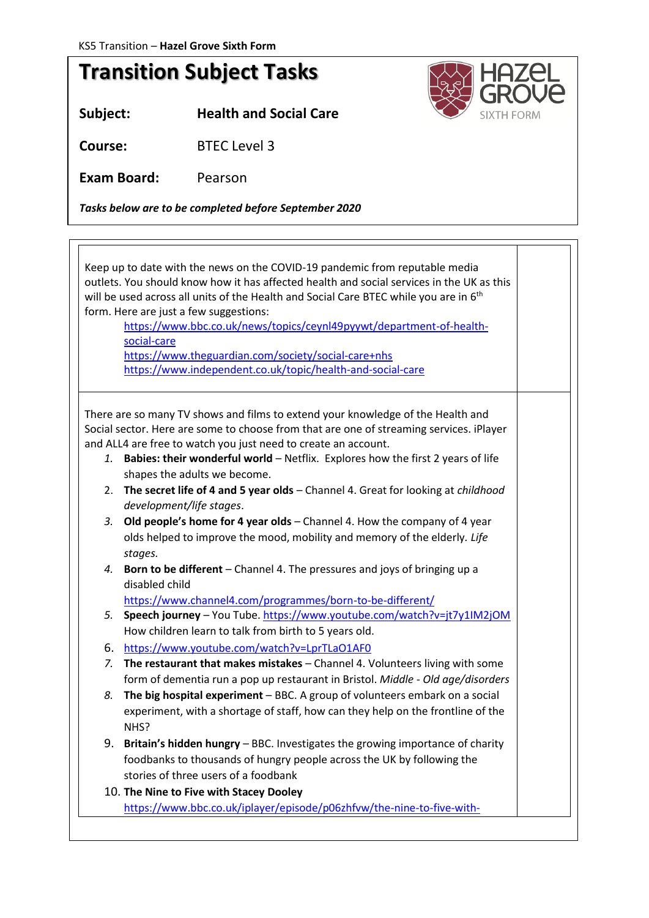## **Transition Subject Tasks**

**Subject: Health and Social Care**

**Course:** BTEC Level 3

**Exam Board:** Pearson

*Tasks below are to be completed before September 2020*

Keep up to date with the news on the COVID-19 pandemic from reputable media outlets. You should know how it has affected health and social services in the UK as this will be used across all units of the Health and Social Care BTEC while you are in 6<sup>th</sup> form. Here are just a few suggestions: [https://www.bbc.co.uk/news/topics/ceynl49pyywt/department-of-health](https://www.bbc.co.uk/news/topics/ceynl49pyywt/department-of-health-social-care)[social-care](https://www.bbc.co.uk/news/topics/ceynl49pyywt/department-of-health-social-care) <https://www.theguardian.com/society/social-care+nhs> <https://www.independent.co.uk/topic/health-and-social-care> There are so many TV shows and films to extend your knowledge of the Health and Social sector. Here are some to choose from that are one of streaming services. iPlayer and ALL4 are free to watch you just need to create an account. *1.* **Babies: their wonderful world** – Netflix. Explores how the first 2 years of life shapes the adults we become. 2. **The secret life of 4 and 5 year olds** – Channel 4. Great for looking at *childhood development/life stages*. *3.* **Old people's home for 4 year olds** – Channel 4. How the company of 4 year olds helped to improve the mood, mobility and memory of the elderly*. Life stages. 4.* **Born to be different** – Channel 4. The pressures and joys of bringing up a disabled child <https://www.channel4.com/programmes/born-to-be-different/> *5.* **Speech journey** – You Tube[. https://www.youtube.com/watch?v=jt7y1IM2jOM](https://www.youtube.com/watch?v=jt7y1IM2jOM) How children learn to talk from birth to 5 years old. 6. <https://www.youtube.com/watch?v=LprTLaO1AF0> *7.* **The restaurant that makes mistakes** – Channel 4. Volunteers living with some form of dementia run a pop up restaurant in Bristol. *Middle - Old age/disorders 8.* **The big hospital experiment** – BBC. A group of volunteers embark on a social experiment, with a shortage of staff, how can they help on the frontline of the NHS? 9. **Britain's hidden hungry** – BBC. Investigates the growing importance of charity foodbanks to thousands of hungry people across the UK by following the stories of three users of a foodbank 10. **The Nine to Five with Stacey Dooley**  [https://www.bbc.co.uk/iplayer/episode/p06zhfvw/the-nine-to-five-with-](https://www.bbc.co.uk/iplayer/episode/p06zhfvw/the-nine-to-five-with-stacey-dooley-series-1-2-caring-and-sharing)